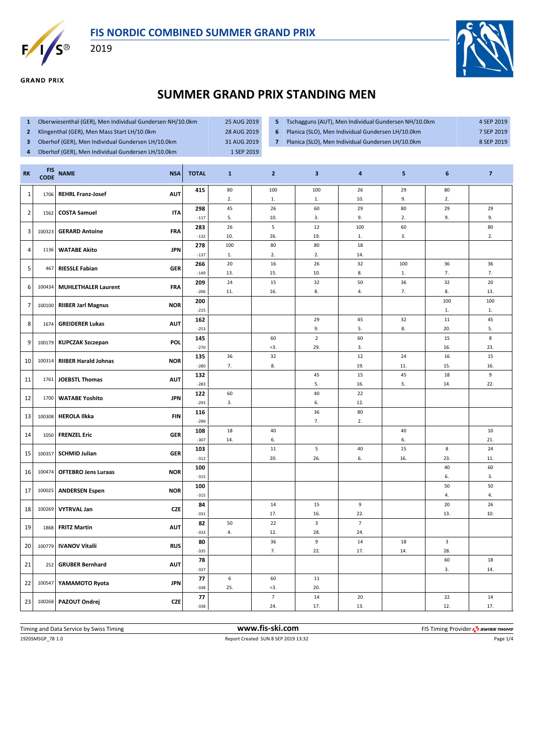



**GRAND PRIX** 

2019



## **SUMMER GRAND PRIX STANDING MEN**

- **1** Oberwiesenthal (GER), Men Individual Gundersen NH/10.0km 25 AUG 2019
- **2** Klingenthal (GER), Men Mass Start LH/10.0km 28 AUG 2019
- **3** Oberhof (GER), Men Individual Gundersen LH/10.0km 31 AUG 2019
- **4** Oberhof (GER), Men Individual Gundersen LH/10.0km 1 SEP 2019
- **5** Tschagguns (AUT), Men Individual Gundersen NH/10.0km 4 SEP 2019
- **6** Planica (SLO), Men Individual Gundersen LH/10.0km 7 SEP 2019
- 
- 
- 
- **7** Planica (SLO), Men Individual Gundersen LH/10.0km 8 SEP 2019

| <b>RK</b>      | <b>FIS</b><br><b>CODE</b> | <b>NAME</b>                 | <b>NSA</b> | <b>TOTAL</b>  | $\mathbf{1}$ | $\mathbf{2}$             | $\mathbf{3}$            | $\overline{\mathbf{a}}$ | 5        | 6         | $\overline{\mathbf{z}}$ |
|----------------|---------------------------|-----------------------------|------------|---------------|--------------|--------------------------|-------------------------|-------------------------|----------|-----------|-------------------------|
| $\mathbf{1}$   | 1706                      | <b>REHRL Franz-Josef</b>    | <b>AUT</b> | 415           | 80<br>2.     | 100<br>1.                | 100<br>1.               | 26<br>10.               | 29<br>9. | 80<br>2.  |                         |
|                |                           |                             |            | 298           | 45           | 26                       | 60                      | 29                      | 80       | 29        | 29                      |
| $\overline{2}$ | 1562                      | <b>COSTA Samuel</b>         | <b>ITA</b> | $-117$        | 5.           | 10.                      | 3.                      | 9.                      | 2.       | 9.        | 9.                      |
| 3              | 100323                    | <b>GERARD Antoine</b>       | <b>FRA</b> | 283           | 26           | $\sf 5$                  | 12                      | 100                     | 60       |           | 80                      |
|                |                           |                             |            | $-132$        | 10.          | 26.                      | 19.                     | 1.                      | 3.       |           | 2.                      |
| 4              | 1136                      | <b>WATABE Akito</b>         | <b>JPN</b> | 278<br>$-137$ | 100<br>1.    | 80<br>2.                 | 80<br>2.                | 18<br>14.               |          |           |                         |
|                |                           |                             |            | 266           | 20           | 16                       | 26                      | 32                      | 100      | 36        | 36                      |
| 5              | 467                       | <b>RIESSLE Fabian</b>       | <b>GER</b> | $-149$        | 13.          | 15.                      | 10.                     | 8.                      | 1.       | 7.        | 7.                      |
|                |                           |                             |            | 209           | 24           | 15                       | 32                      | 50                      | 36       | 32        | 20                      |
| 6              | 100434                    | <b>MUHLETHALER Laurent</b>  | <b>FRA</b> | $-206$        | 11.          | 16.                      | 8.                      | 4.                      | 7.       | 8.        | 13.                     |
| $\overline{7}$ | 100100                    | <b>RIIBER Jarl Magnus</b>   | <b>NOR</b> | 200           |              |                          |                         |                         |          | 100       | 100                     |
|                |                           |                             |            | $-215$        |              |                          |                         |                         |          | 1.        | 1.                      |
| 8              | 1674                      | <b>GREIDERER Lukas</b>      | <b>AUT</b> | 162           |              |                          | 29                      | 45                      | 32       | 11        | 45                      |
|                |                           |                             |            | $-253$        |              |                          | 9.                      | 5.                      | 8.       | 20.       | 5.                      |
| 9              | 100179                    | <b>KUPCZAK Szczepan</b>     | POL        | 145<br>$-270$ |              | 60<br>$=3.$              | $\mathbf 2$<br>29.      | 60<br>3.                |          | 15<br>16. | $\,$ 8 $\,$<br>23.      |
|                |                           |                             |            | 135           | 36           | 32                       |                         | 12                      | 24       | 16        | 15                      |
| 10             | 100314                    | <b>RIIBER Harald Johnas</b> | <b>NOR</b> | $-280$        | 7.           | 8.                       |                         | 19.                     | 11.      | 15.       | 16.                     |
|                |                           |                             |            | 132           |              |                          | 45                      | 15                      | 45       | 18        | 9                       |
| 11             | 1761                      | <b>JOEBSTL Thomas</b>       | <b>AUT</b> | $-283$        |              |                          | 5.                      | 16.                     | 5.       | 14.       | 22.                     |
| 12             | 1700                      | <b>WATABE Yoshito</b>       | <b>JPN</b> | 122           | 60           |                          | 40                      | 22                      |          |           |                         |
|                |                           |                             |            | $-293$        | 3.           |                          | 6.                      | 12.                     |          |           |                         |
| 13             | 100308                    | <b>HEROLA Ilkka</b>         | <b>FIN</b> | 116           |              |                          | 36                      | 80                      |          |           |                         |
|                |                           |                             |            | $-299$<br>108 | 18           | 40                       | 7.                      | 2.                      | 40       |           | 10                      |
| 14             | 1050                      | <b>FRENZEL Eric</b>         | <b>GER</b> | $-307$        | 14.          | 6.                       |                         |                         | 6.       |           | 21.                     |
|                |                           |                             |            | 103           |              | 11                       | 5                       | 40                      | 15       | 8         | 24                      |
| 15             | 100357                    | <b>SCHMID Julian</b>        | <b>GER</b> | $-312$        |              | 20.                      | 26.                     | 6.                      | 16.      | 23.       | 11.                     |
| 16             | 100474                    | <b>OFTEBRO Jens Luraas</b>  | <b>NOR</b> | 100           |              |                          |                         |                         |          | 40        | 60                      |
|                |                           |                             |            | $-315$        |              |                          |                         |                         |          | 6.        | 3.                      |
| 17             | 100025                    | <b>ANDERSEN Espen</b>       | <b>NOR</b> | 100           |              |                          |                         |                         |          | 50        | 50                      |
|                |                           |                             |            | $-315$        |              | 14                       |                         |                         |          | 4.<br>20  | 4.<br>26                |
| 18             | 100269                    | <b>VYTRVAL Jan</b>          | <b>CZE</b> | 84<br>$-331$  |              | 17.                      | 15<br>16.               | 9<br>22.                |          | 13.       | 10.                     |
|                |                           |                             |            | 82            | 50           | 22                       | $\overline{\mathbf{3}}$ | $\overline{7}$          |          |           |                         |
| 19             | 1868                      | <b>FRITZ Martin</b>         | <b>AUT</b> | $-333$        | 4.           | 12.                      | 28.                     | 24.                     |          |           |                         |
|                |                           |                             | <b>RUS</b> | 80            |              | 36                       | 9                       | 14                      | 18       | 3         |                         |
| 20             | 100779                    | <b>IVANOV Vitalii</b>       |            | $-335$        |              | 7.                       | 22.                     | 17.                     | 14.      | 28.       |                         |
| 21             | 252                       | <b>GRUBER Bernhard</b>      | <b>AUT</b> | 78            |              |                          |                         |                         |          | 60        | 18                      |
|                |                           |                             |            | $-337$        |              |                          |                         |                         |          | 3.        | 14.                     |
| 22             | 100547                    | YAMAMOTO Ryota              | <b>JPN</b> | 77            | 6            | 60                       | 11                      |                         |          |           |                         |
|                |                           |                             |            | $-338$<br>77  | 25.          | $= 3.$<br>$\overline{7}$ | 20.<br>14               | 20                      |          | 22        | 14                      |
| 23             |                           | 100268   PAZOUT Ondrej      | <b>CZE</b> | $-338$        |              | 24.                      | 17.                     | 13.                     |          | 12.       | 17.                     |
|                |                           |                             |            |               |              |                          |                         |                         |          |           |                         |

1920SMSGP\_78 1.0 Report Created SUN 8 SEP 2019 13:32 Page 1/4 Timing and Data Service by Swiss Timing **www.fis-ski.com www.fis-ski.com** FIS Timing Provider  $\frac{7}{2}$  swiss Timing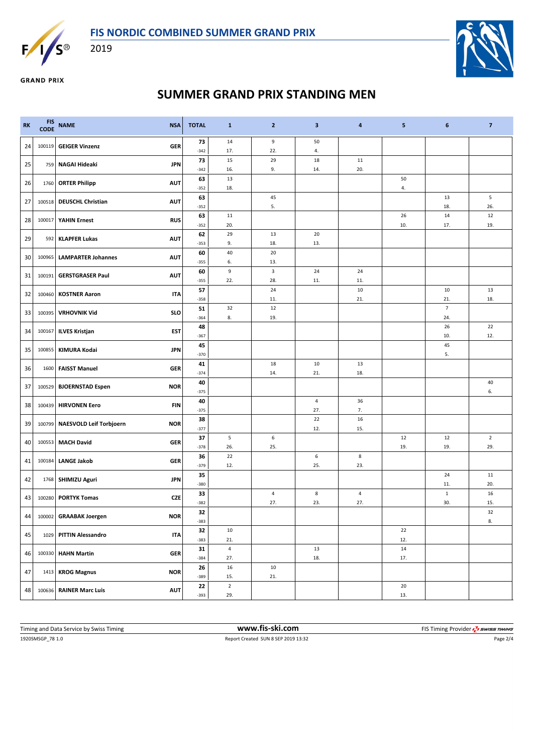



2019



**GRAND PRIX** 

## **SUMMER GRAND PRIX STANDING MEN**

| <b>RK</b> | <b>FIS</b><br><b>CODE</b>                         | <b>NAME</b>                    | <b>NSA</b> | <b>TOTAL</b> | $\mathbf{1}$            | $\overline{2}$ | 3              | 4         | 5         | 6                  | $\overline{\mathbf{z}}$ |
|-----------|---------------------------------------------------|--------------------------------|------------|--------------|-------------------------|----------------|----------------|-----------|-----------|--------------------|-------------------------|
| 24        | 100119                                            | <b>GEIGER Vinzenz</b>          | <b>GER</b> | 73<br>$-342$ | 14<br>17.               | 9<br>22.       | 50<br>4.       |           |           |                    |                         |
| 25        | 759                                               | NAGAI Hideaki                  | <b>JPN</b> | 73           | 15                      | 29             | 18             | 11        |           |                    |                         |
|           |                                                   |                                |            | $-342$       | 16.                     | 9.             | 14.            | 20.       |           |                    |                         |
| 26        | 1760                                              | <b>ORTER Philipp</b>           | <b>AUT</b> | 63           | 13                      |                |                |           | 50        |                    |                         |
|           |                                                   |                                |            | $-352$       | 18.                     |                |                |           | 4.        |                    |                         |
| 27        | 100518                                            | <b>DEUSCHL Christian</b>       | <b>AUT</b> | 63<br>$-352$ |                         | 45<br>5.       |                |           |           | 13<br>18.          | 5<br>26.                |
|           |                                                   |                                |            | 63           | 11                      |                |                |           | 26        | 14                 | 12                      |
| 28        | 100017                                            | <b>YAHIN Ernest</b>            | <b>RUS</b> | $-352$       | 20.                     |                |                |           | 10.       | 17.                | 19.                     |
| 29        | 592                                               | <b>KLAPFER Lukas</b>           | <b>AUT</b> | 62           | 29                      | 13             | 20             |           |           |                    |                         |
|           |                                                   |                                |            | $-353$       | 9.                      | 18.            | 13.            |           |           |                    |                         |
| 30        | <b>LAMPARTER Johannes</b><br><b>AUT</b><br>100965 |                                | 60         | 40           | 20                      |                |                |           |           |                    |                         |
|           |                                                   |                                |            | $-355$       | 6.                      | 13.            |                |           |           |                    |                         |
| 31        | 100191                                            | <b>GERSTGRASER Paul</b>        | <b>AUT</b> | 60<br>$-355$ | $\boldsymbol{9}$<br>22. | 3<br>28.       | 24<br>11.      | 24<br>11. |           |                    |                         |
|           |                                                   |                                |            | 57           |                         | 24             |                | 10        |           | 10                 | 13                      |
| 32        | 100460                                            | <b>KOSTNER Aaron</b>           | ITA        | $-358$       |                         | 11.            |                | 21.       |           | 21.                | 18.                     |
|           |                                                   |                                |            | 51           | 32                      | 12             |                |           |           | $\overline{7}$     |                         |
| 33        | 100395                                            | <b>VRHOVNIK Vid</b>            | <b>SLO</b> | $-364$       | 8.                      | 19.            |                |           |           | 24.                |                         |
| 34        | 100167                                            | <b>ILVES Kristjan</b>          | EST        | 48           |                         |                |                |           |           | 26                 | 22                      |
|           |                                                   |                                |            | $-367$       |                         |                |                |           |           | 10.                | 12.                     |
| 35        | 100855                                            | KIMURA Kodai                   | <b>JPN</b> | 45           |                         |                |                |           |           | 45                 |                         |
|           |                                                   |                                |            | $-370$<br>41 |                         | 18             | 10             | 13        |           | 5.                 |                         |
| 36        | 1600                                              | <b>FAISST Manuel</b>           | <b>GER</b> | $-374$       |                         | 14.            | 21.            | 18.       |           |                    |                         |
|           |                                                   |                                |            | 40           |                         |                |                |           |           |                    | 40                      |
| 37        | 100529                                            | <b>BJOERNSTAD Espen</b>        | <b>NOR</b> | $-375$       |                         |                |                |           |           |                    | 6.                      |
| 38        | 100439                                            | <b>HIRVONEN Eero</b>           | <b>FIN</b> | 40           |                         |                | $\overline{4}$ | 36        |           |                    |                         |
|           |                                                   |                                |            | $-375$       |                         |                | 27.<br>22      | 7.        |           |                    |                         |
| 39        | 100799                                            | <b>NAESVOLD Leif Torbjoern</b> | <b>NOR</b> | 38<br>$-377$ |                         |                | 12.            | 16<br>15. |           |                    |                         |
|           |                                                   |                                |            | 37           | 5                       | 6              |                |           | 12        | 12                 | $\overline{2}$          |
| 40        | 100553                                            | <b>MACH David</b>              | <b>GER</b> | $-378$       | 26.                     | 25.            |                |           | 19.       | 19.                | 29.                     |
| 41        | 100184                                            | <b>LANGE Jakob</b>             | <b>GER</b> | 36           | 22                      |                | 6              | 8         |           |                    |                         |
|           |                                                   |                                |            | $-379$       | 12.                     |                | 25.            | 23.       |           |                    |                         |
| 42        |                                                   | 1768 SHIMIZU Aguri             | <b>JPN</b> | 35           |                         |                |                |           |           | 24                 | 11                      |
|           |                                                   |                                |            | $-380$       |                         | 4              |                |           |           | 11.                | 20.<br>16               |
| 43        | 100280                                            | <b>PORTYK Tomas</b>            | <b>CZE</b> | 33<br>$-382$ |                         | 27.            | 8<br>23.       | 4<br>27.  |           | $\mathbf 1$<br>30. | 15.                     |
|           |                                                   |                                |            | 32           |                         |                |                |           |           |                    | 32                      |
| 44        |                                                   | 100002 GRAABAK Joergen         | <b>NOR</b> | $-383$       |                         |                |                |           |           |                    | 8.                      |
| 45        | 1029                                              | <b>PITTIN Alessandro</b>       | <b>ITA</b> | 32           | 10                      |                |                |           | 22        |                    |                         |
|           |                                                   |                                |            | $-383$       | 21.                     |                |                |           | 12.       |                    |                         |
| 46        | 100330                                            | <b>HAHN Martin</b>             | <b>GER</b> | 31<br>$-384$ | $\sqrt{4}$<br>27.       |                | 13<br>18.      |           | 14<br>17. |                    |                         |
|           |                                                   |                                |            | 26           | 16                      | 10             |                |           |           |                    |                         |
| 47        | 1413                                              | <b>KROG Magnus</b>             | <b>NOR</b> | $-389$       | 15.                     | 21.            |                |           |           |                    |                         |
|           |                                                   |                                |            | 22           | $\overline{2}$          |                |                |           | 20        |                    |                         |
| 48        |                                                   | 100636 RAINER Marc Luis        | <b>AUT</b> | $-393$       | 29.                     |                |                |           | 13.       |                    |                         |

1920SMSGP\_78 1.0 Report Created SUN 8 SEP 2019 13:32 Page 2/4 Timing and Data Service by Swiss Timing **WWW.fis-Ski.com WWW.fis-Ski.com** FIS Timing Provider  $\frac{7}{2}$  SWISS Timing Provider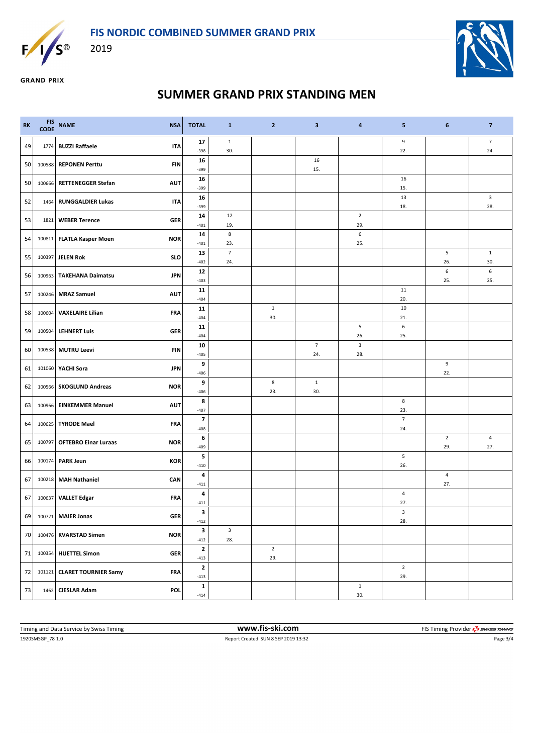



2019



**GRAND PRIX** 

## **SUMMER GRAND PRIX STANDING MEN**

| <b>RK</b> | <b>FIS</b><br><b>CODE</b> | <b>NAME</b>                 | <b>NSA</b><br><b>TOTAL</b> | $\mathbf{1}$                        | $\mathbf{2}$          | 3                     | 4                     | 5                     | 6                     | $\overline{7}$        |
|-----------|---------------------------|-----------------------------|----------------------------|-------------------------------------|-----------------------|-----------------------|-----------------------|-----------------------|-----------------------|-----------------------|
| 49        |                           | 1774 BUZZI Raffaele         | 17<br><b>ITA</b><br>$-398$ | $\mathbf 1$<br>30.                  |                       |                       |                       | 9<br>22.              |                       | $\overline{7}$<br>24. |
| 50        |                           | 100588 REPONEN Perttu       | 16<br>FIN<br>$-399$        |                                     |                       | 16<br>15.             |                       |                       |                       |                       |
| 50        |                           | 100666 RETTENEGGER Stefan   | 16<br><b>AUT</b><br>$-399$ |                                     |                       |                       |                       | 16<br>15.             |                       |                       |
| 52        |                           | 1464   RUNGGALDIER Lukas    | 16<br><b>ITA</b><br>-399   |                                     |                       |                       |                       | 13<br>18.             |                       | $\mathbf{3}$<br>28.   |
| 53        |                           | 1821   WEBER Terence        | 14<br><b>GER</b><br>$-401$ | 12<br>19.                           |                       |                       | $\overline{2}$<br>29. |                       |                       |                       |
| 54        |                           | 100811 FLATLA Kasper Moen   | 14<br><b>NOR</b><br>$-401$ | $\bf 8$<br>23.                      |                       |                       | $\,$ 6 $\,$<br>25.    |                       |                       |                       |
| 55        |                           | 100397 JELEN Rok            | 13<br><b>SLO</b><br>$-402$ | $\overline{7}$<br>24.               |                       |                       |                       |                       | 5<br>26.              | $\mathbf{1}$<br>30.   |
| 56        |                           | 100963   TAKEHANA Daimatsu  | 12<br><b>JPN</b><br>$-403$ |                                     |                       |                       |                       |                       | $\,6\,$<br>25.        | 6<br>25.              |
| 57        |                           | 100246 MRAZ Samuel          | 11<br><b>AUT</b><br>$-404$ |                                     |                       |                       |                       | 11<br>20.             |                       |                       |
| 58        |                           | 100604 VAXELAIRE Lilian     | 11<br><b>FRA</b><br>$-404$ |                                     | $\mathbf{1}$<br>30.   |                       |                       | 10<br>21.             |                       |                       |
| 59        |                           | 100504 LEHNERT Luis         | 11<br><b>GER</b><br>$-404$ |                                     |                       |                       | $\overline{5}$<br>26. | 6<br>25.              |                       |                       |
| 60        |                           | 100538 MUTRU Leevi          | 10<br><b>FIN</b><br>$-405$ |                                     |                       | $\overline{7}$<br>24. | $\mathbf{3}$<br>28.   |                       |                       |                       |
| 61        |                           | 101060 YACHI Sora           | <b>JPN</b><br>$-406$       | 9                                   |                       |                       |                       |                       | 9<br>22.              |                       |
| 62        |                           | 100566   SKOGLUND Andreas   | <b>NOR</b><br>$-406$       | 9                                   | 8<br>23.              | $\mathbf{1}$<br>30.   |                       |                       |                       |                       |
| 63        |                           | 100966 EINKEMMER Manuel     | <b>AUT</b><br>$-407$       | 8                                   |                       |                       |                       | 8<br>23.              |                       |                       |
| 64        |                           | 100625 TYRODE Mael          | <b>FRA</b><br>$-408$       | $\overline{\phantom{a}}$            |                       |                       |                       | $\overline{7}$<br>24. |                       |                       |
| 65        |                           | 100797 OFTEBRO Einar Luraas | <b>NOR</b><br>$-409$       | 6                                   |                       |                       |                       |                       | $\overline{2}$<br>29. | $\overline{4}$<br>27. |
| 66        |                           | 100174 PARK Jeun            | <b>KOR</b><br>$-410$       | 5                                   |                       |                       |                       | 5<br>26.              |                       |                       |
| 67        |                           | 100218 MAH Nathaniel        | CAN<br>$-411$              | 4                                   |                       |                       |                       |                       | $\sqrt{4}$<br>27.     |                       |
| 67        |                           | 100637 VALLET Edgar         | <b>FRA</b><br>$-411$       | 4                                   |                       |                       |                       | 4<br>27.              |                       |                       |
|           |                           | 69 100721 MAIER Jonas       | <b>GER</b><br>$-412$       | 3                                   |                       |                       |                       | 3<br>28.              |                       |                       |
| 70        |                           | 100476 KVARSTAD Simen       | <b>NOR</b><br>$-412$       | 3<br>$\overline{\mathbf{3}}$<br>28. |                       |                       |                       |                       |                       |                       |
| 71        |                           | 100354 HUETTEL Simon        | <b>GER</b><br>$-413$       | $\mathbf{2}$                        | $\overline{2}$<br>29. |                       |                       |                       |                       |                       |
| 72        |                           | 101121 CLARET TOURNIER Samy | <b>FRA</b><br>$-413$       | $\mathbf{2}$                        |                       |                       |                       | $\overline{2}$<br>29. |                       |                       |
| 73        |                           | 1462 CIESLAR Adam           | <b>POL</b><br>$-414$       | $\mathbf{1}$                        |                       |                       | $\mathbf 1$<br>30.    |                       |                       |                       |

1920SMSGP\_78 1.0 Report Created SUN 8 SEP 2019 13:32 Page 3/4 Timing and Data Service by Swiss Timing **WWW.fis-Ski.com WWW.fis-Ski.com** FIS Timing Provider  $\frac{7}{2}$  SWISS Timing Provider